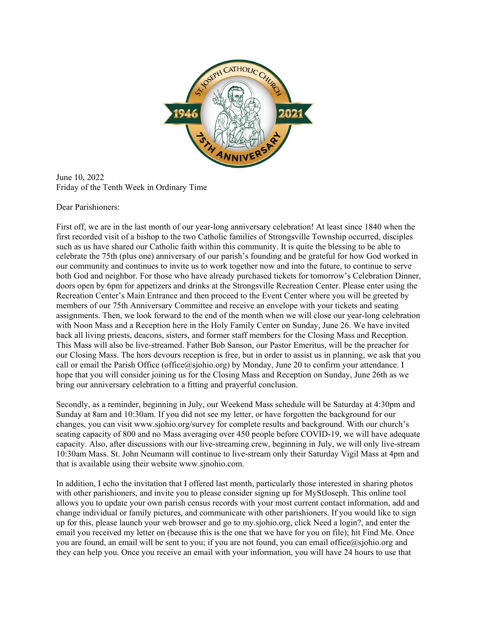

June 10, 2022 Friday of the Tenth Week in Ordinary Time

Dear Parishioners:

First off, we are in the last month of our year-long anniversary celebration! At least since 1840 when the first recorded visit of a bishop to the two Catholic families of Strongsville Township occurred, disciples such as us have shared our Catholic faith within this community. It is quite the blessing to be able to celebrate the 75th (plus one) anniversary of our parish's founding and be grateful for how God worked in our community and continues to invite us to work together now and into the future, to continue to serve both God and neighbor. For those who have already purchased tickets for tomorrow's Celebration Dinner, doors open by 6pm for appetizers and drinks at the Strongsville Recreation Center. Please enter using the Recreation Center's Main Entrance and then proceed to the Event Center where you will be greeted by members of our 75th Anniversary Committee and receive an envelope with your tickets and seating assignments. Then, we look forward to the end of the month when we will close our year-long celebration with Noon Mass and a Reception here in the Holy Family Center on Sunday, June 26. We have invited back all living priests, deacons, sisters, and former staff members for the Closing Mass and Reception. This Mass will also be live-streamed. Father Bob Sanson, our Pastor Emeritus, will be the preacher for our Closing Mass. The hors devours reception is free, but in order to assist us in planning, we ask that you call or email the Parish Office (office@sjohio.org) by Monday, June 20 to confirm your attendance. I hope that you will consider joining us for the Closing Mass and Reception on Sunday, June 26th as we bring our anniversary celebration to a fitting and prayerful conclusion.

Secondly, as a reminder, beginning in July, our Weekend Mass schedule will be Saturday at 4:30pm and Sunday at 8am and 10:30am. If you did not see my letter, or have forgotten the background for our changes, you can visit www.sjohio.org/survey for complete results and background. With our church's seating capacity of 800 and no Mass averaging over 450 people before COVID-19, we will have adequate capacity. Also, after discussions with our live-streaming crew, beginning in July, we will only live-stream 10:30am Mass. St. John Neumann will continue to live-stream only their Saturday Vigil Mass at 4pm and that is available using their website www.sjnohio.com.

In addition, I echo the invitation that I offered last month, particularly those interested in sharing photos with other parishioners, and invite you to please consider signing up for MyStJoseph. This online tool allows you to update your own parish census records with your most current contact information, add and change individual or family pictures, and communicate with other parishioners. If you would like to sign up for this, please launch your web browser and go to my.sjohio.org, click Need a login?, and enter the email you received my letter on (because this is the one that we have for you on file); hit Find Me. Once you are found, an email will be sent to you; if you are not found, you can email office@sjohio.org and they can help you. Once you receive an email with your information, you will have 24 hours to use that